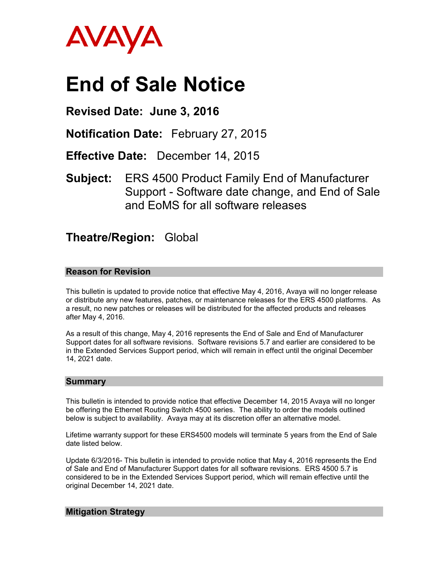

# **End of Sale Notice**

# **Revised Date: June 3, 2016**

**Notification Date:** February 27, 2015

**Effective Date:** December 14, 2015

**Subject:** ERS 4500 Product Family End of Manufacturer Support - Software date change, and End of Sale and EoMS for all software releases

# **Theatre/Region:** Global

## **Reason for Revision**

This bulletin is updated to provide notice that effective May 4, 2016, Avaya will no longer release or distribute any new features, patches, or maintenance releases for the ERS 4500 platforms. As a result, no new patches or releases will be distributed for the affected products and releases after May 4, 2016.

As a result of this change, May 4, 2016 represents the End of Sale and End of Manufacturer Support dates for all software revisions. Software revisions 5.7 and earlier are considered to be in the Extended Services Support period, which will remain in effect until the original December 14, 2021 date.

#### **Summary**

This bulletin is intended to provide notice that effective December 14, 2015 Avaya will no longer be offering the Ethernet Routing Switch 4500 series. The ability to order the models outlined below is subject to availability. Avaya may at its discretion offer an alternative model.

Lifetime warranty support for these ERS4500 models will terminate 5 years from the End of Sale date listed below.

Update 6/3/2016- This bulletin is intended to provide notice that May 4, 2016 represents the End of Sale and End of Manufacturer Support dates for all software revisions. ERS 4500 5.7 is considered to be in the Extended Services Support period, which will remain effective until the original December 14, 2021 date.

## **Mitigation Strategy**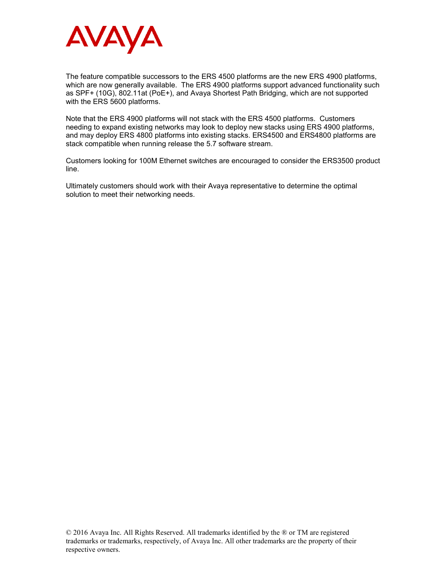

The feature compatible successors to the ERS 4500 platforms are the new ERS 4900 platforms, which are now generally available. The ERS 4900 platforms support advanced functionality such as SPF+ (10G), 802.11at (PoE+), and Avaya Shortest Path Bridging, which are not supported with the ERS 5600 platforms.

Note that the ERS 4900 platforms will not stack with the ERS 4500 platforms. Customers needing to expand existing networks may look to deploy new stacks using ERS 4900 platforms, and may deploy ERS 4800 platforms into existing stacks. ERS4500 and ERS4800 platforms are stack compatible when running release the 5.7 software stream.

Customers looking for 100M Ethernet switches are encouraged to consider the ERS3500 product line.

Ultimately customers should work with their Avaya representative to determine the optimal solution to meet their networking needs.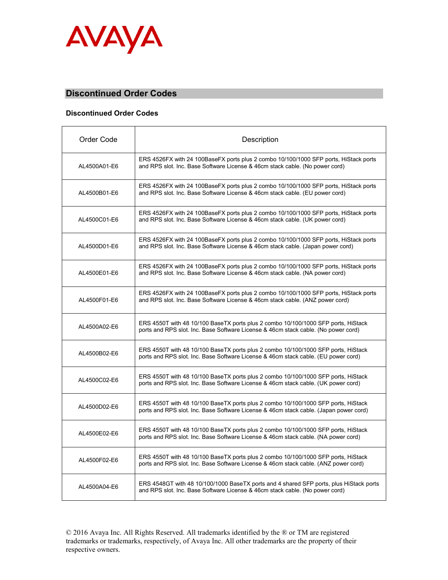

## **Discontinued Order Codes**

#### **Discontinued Order Codes**

| Order Code   | Description                                                                                                                                                                |
|--------------|----------------------------------------------------------------------------------------------------------------------------------------------------------------------------|
| AL4500A01-E6 | ERS 4526FX with 24 100BaseFX ports plus 2 combo 10/100/1000 SFP ports, HiStack ports<br>and RPS slot. Inc. Base Software License & 46cm stack cable. (No power cord)       |
| AL4500B01-E6 | ERS 4526FX with 24 100BaseFX ports plus 2 combo 10/100/1000 SFP ports, HiStack ports<br>and RPS slot. Inc. Base Software License & 46cm stack cable. (EU power cord)       |
| AL4500C01-E6 | ERS 4526FX with 24 100BaseFX ports plus 2 combo 10/100/1000 SFP ports, HiStack ports<br>and RPS slot. Inc. Base Software License & 46cm stack cable. (UK power cord)       |
| AL4500D01-E6 | ERS 4526FX with 24 100BaseFX ports plus 2 combo 10/100/1000 SFP ports, HiStack ports<br>and RPS slot. Inc. Base Software License & 46cm stack cable. (Japan power cord)    |
| AL4500E01-E6 | ERS 4526FX with 24 100BaseFX ports plus 2 combo 10/100/1000 SFP ports, HiStack ports<br>and RPS slot. Inc. Base Software License & 46cm stack cable. (NA power cord)       |
| AL4500F01-E6 | ERS 4526FX with 24 100BaseFX ports plus 2 combo 10/100/1000 SFP ports, HiStack ports<br>and RPS slot. Inc. Base Software License & 46cm stack cable. (ANZ power cord)      |
| AL4500A02-E6 | ERS 4550T with 48 10/100 BaseTX ports plus 2 combo 10/100/1000 SFP ports, HiStack<br>ports and RPS slot. Inc. Base Software License & 46cm stack cable. (No power cord)    |
| AL4500B02-E6 | ERS 4550T with 48 10/100 BaseTX ports plus 2 combo 10/100/1000 SFP ports, HiStack<br>ports and RPS slot. Inc. Base Software License & 46cm stack cable. (EU power cord)    |
| AL4500C02-E6 | ERS 4550T with 48 10/100 BaseTX ports plus 2 combo 10/100/1000 SFP ports, HiStack<br>ports and RPS slot. Inc. Base Software License & 46cm stack cable. (UK power cord)    |
| AL4500D02-E6 | ERS 4550T with 48 10/100 BaseTX ports plus 2 combo 10/100/1000 SFP ports, HiStack<br>ports and RPS slot. Inc. Base Software License & 46cm stack cable. (Japan power cord) |
| AL4500E02-E6 | ERS 4550T with 48 10/100 BaseTX ports plus 2 combo 10/100/1000 SFP ports, HiStack<br>ports and RPS slot. Inc. Base Software License & 46cm stack cable. (NA power cord)    |
| AL4500F02-E6 | ERS 4550T with 48 10/100 BaseTX ports plus 2 combo 10/100/1000 SFP ports, HiStack<br>ports and RPS slot. Inc. Base Software License & 46cm stack cable. (ANZ power cord)   |
| AL4500A04-E6 | ERS 4548GT with 48 10/100/1000 BaseTX ports and 4 shared SFP ports, plus HiStack ports<br>and RPS slot. Inc. Base Software License & 46cm stack cable. (No power cord)     |

© 2016 Avaya Inc. All Rights Reserved. All trademarks identified by the ® or TM are registered trademarks or trademarks, respectively, of Avaya Inc. All other trademarks are the property of their respective owners.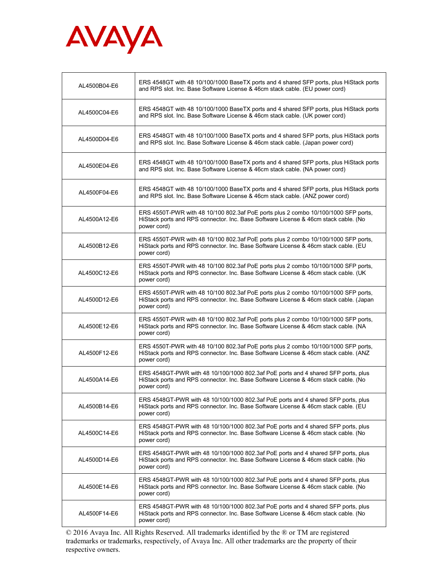

| AL4500B04-E6 | ERS 4548GT with 48 10/100/1000 BaseTX ports and 4 shared SFP ports, plus HiStack ports<br>and RPS slot. Inc. Base Software License & 46cm stack cable. (EU power cord)                      |
|--------------|---------------------------------------------------------------------------------------------------------------------------------------------------------------------------------------------|
| AL4500C04-E6 | ERS 4548GT with 48 10/100/1000 BaseTX ports and 4 shared SFP ports, plus HiStack ports<br>and RPS slot. Inc. Base Software License & 46cm stack cable. (UK power cord)                      |
| AL4500D04-E6 | ERS 4548GT with 48 10/100/1000 BaseTX ports and 4 shared SFP ports, plus HiStack ports<br>and RPS slot. Inc. Base Software License & 46cm stack cable. (Japan power cord)                   |
| AL4500E04-E6 | ERS 4548GT with 48 10/100/1000 BaseTX ports and 4 shared SFP ports, plus HiStack ports<br>and RPS slot. Inc. Base Software License & 46cm stack cable. (NA power cord)                      |
| AL4500F04-E6 | ERS 4548GT with 48 10/100/1000 BaseTX ports and 4 shared SFP ports, plus HiStack ports<br>and RPS slot. Inc. Base Software License & 46cm stack cable. (ANZ power cord)                     |
| AL4500A12-E6 | ERS 4550T-PWR with 48 10/100 802.3af PoE ports plus 2 combo 10/100/1000 SFP ports,<br>HiStack ports and RPS connector. Inc. Base Software License & 46cm stack cable. (No<br>power cord)    |
| AL4500B12-E6 | ERS 4550T-PWR with 48 10/100 802.3af PoE ports plus 2 combo 10/100/1000 SFP ports,<br>HiStack ports and RPS connector. Inc. Base Software License & 46cm stack cable. (EU<br>power cord)    |
| AL4500C12-E6 | ERS 4550T-PWR with 48 10/100 802.3af PoE ports plus 2 combo 10/100/1000 SFP ports,<br>HiStack ports and RPS connector. Inc. Base Software License & 46cm stack cable. (UK<br>power cord)    |
| AL4500D12-E6 | ERS 4550T-PWR with 48 10/100 802.3af PoE ports plus 2 combo 10/100/1000 SFP ports,<br>HiStack ports and RPS connector. Inc. Base Software License & 46cm stack cable. (Japan<br>power cord) |
| AL4500E12-E6 | ERS 4550T-PWR with 48 10/100 802.3af PoE ports plus 2 combo 10/100/1000 SFP ports,<br>HiStack ports and RPS connector. Inc. Base Software License & 46cm stack cable. (NA<br>power cord)    |
| AL4500F12-E6 | ERS 4550T-PWR with 48 10/100 802.3af PoE ports plus 2 combo 10/100/1000 SFP ports,<br>HiStack ports and RPS connector. Inc. Base Software License & 46cm stack cable. (ANZ<br>power cord)   |
| AL4500A14-E6 | ERS 4548GT-PWR with 48 10/100/1000 802.3af PoE ports and 4 shared SFP ports, plus<br>HiStack ports and RPS connector. Inc. Base Software License & 46cm stack cable. (No<br>power cord)     |
| AL4500B14-E6 | ERS 4548GT-PWR with 48 10/100/1000 802.3af PoE ports and 4 shared SFP ports, plus<br>HiStack ports and RPS connector. Inc. Base Software License & 46cm stack cable. (EU<br>power cord)     |
| AL4500C14-E6 | ERS 4548GT-PWR with 48 10/100/1000 802.3af PoE ports and 4 shared SFP ports, plus<br>HiStack ports and RPS connector. Inc. Base Software License & 46cm stack cable. (No<br>power cord)     |
| AL4500D14-E6 | ERS 4548GT-PWR with 48 10/100/1000 802.3af PoE ports and 4 shared SFP ports, plus<br>HiStack ports and RPS connector. Inc. Base Software License & 46cm stack cable. (No<br>power cord)     |
| AL4500E14-E6 | ERS 4548GT-PWR with 48 10/100/1000 802.3af PoE ports and 4 shared SFP ports, plus<br>HiStack ports and RPS connector. Inc. Base Software License & 46cm stack cable. (No<br>power cord)     |
| AL4500F14-E6 | ERS 4548GT-PWR with 48 10/100/1000 802.3af PoE ports and 4 shared SFP ports, plus<br>HiStack ports and RPS connector. Inc. Base Software License & 46cm stack cable. (No<br>power cord)     |

© 2016 Avaya Inc. All Rights Reserved. All trademarks identified by the ® or TM are registered trademarks or trademarks, respectively, of Avaya Inc. All other trademarks are the property of their respective owners.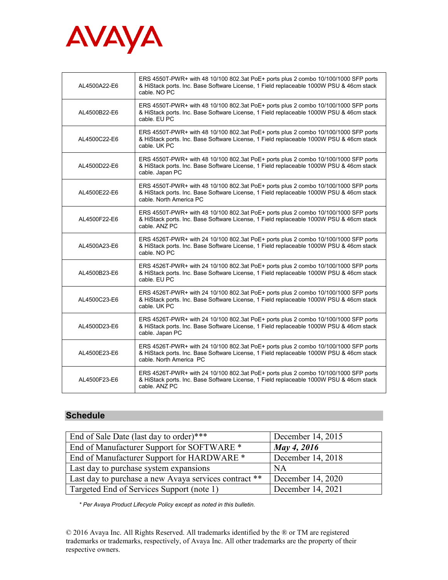

| AL4500A22-E6 | ERS 4550T-PWR+ with 48 10/100 802.3at PoE+ ports plus 2 combo 10/100/1000 SFP ports<br>& HiStack ports. Inc. Base Software License, 1 Field replaceable 1000W PSU & 46cm stack<br>cable. NO PC            |
|--------------|-----------------------------------------------------------------------------------------------------------------------------------------------------------------------------------------------------------|
| AL4500B22-E6 | ERS 4550T-PWR+ with 48 10/100 802.3at PoE+ ports plus 2 combo 10/100/1000 SFP ports<br>& HiStack ports. Inc. Base Software License, 1 Field replaceable 1000W PSU & 46cm stack<br>cable, EU PC            |
| AL4500C22-E6 | ERS 4550T-PWR+ with 48 10/100 802.3at PoE+ ports plus 2 combo 10/100/1000 SFP ports<br>& HiStack ports. Inc. Base Software License, 1 Field replaceable 1000W PSU & 46cm stack<br>cable. UK PC            |
| AL4500D22-E6 | ERS 4550T-PWR+ with 48 10/100 802.3at PoE+ ports plus 2 combo 10/100/1000 SFP ports<br>& HiStack ports. Inc. Base Software License, 1 Field replaceable 1000W PSU & 46cm stack<br>cable. Japan PC         |
| AL4500E22-E6 | ERS 4550T-PWR+ with 48 10/100 802.3at PoE+ ports plus 2 combo 10/100/1000 SFP ports<br>& HiStack ports. Inc. Base Software License, 1 Field replaceable 1000W PSU & 46cm stack<br>cable. North America PC |
| AL4500F22-E6 | ERS 4550T-PWR+ with 48 10/100 802.3at PoE+ ports plus 2 combo 10/100/1000 SFP ports<br>& HiStack ports. Inc. Base Software License, 1 Field replaceable 1000W PSU & 46cm stack<br>cable, ANZ PC           |
| AL4500A23-E6 | ERS 4526T-PWR+ with 24 10/100 802.3at PoE+ ports plus 2 combo 10/100/1000 SFP ports<br>& HiStack ports. Inc. Base Software License, 1 Field replaceable 1000W PSU & 46cm stack<br>cable, NO PC            |
| AL4500B23-E6 | ERS 4526T-PWR+ with 24 10/100 802.3at PoE+ ports plus 2 combo 10/100/1000 SFP ports<br>& HiStack ports. Inc. Base Software License, 1 Field replaceable 1000W PSU & 46cm stack<br>cable. EU PC            |
| AL4500C23-E6 | ERS 4526T-PWR+ with 24 10/100 802.3at PoE+ ports plus 2 combo 10/100/1000 SFP ports<br>& HiStack ports. Inc. Base Software License, 1 Field replaceable 1000W PSU & 46cm stack<br>cable, UK PC            |
| AL4500D23-E6 | ERS 4526T-PWR+ with 24 10/100 802.3at PoE+ ports plus 2 combo 10/100/1000 SFP ports<br>& HiStack ports. Inc. Base Software License, 1 Field replaceable 1000W PSU & 46cm stack<br>cable. Japan PC         |
| AL4500E23-E6 | ERS 4526T-PWR+ with 24 10/100 802.3at PoE+ ports plus 2 combo 10/100/1000 SFP ports<br>& HiStack ports. Inc. Base Software License, 1 Field replaceable 1000W PSU & 46cm stack<br>cable. North America PC |
| AL4500F23-E6 | ERS 4526T-PWR+ with 24 10/100 802.3at PoE+ ports plus 2 combo 10/100/1000 SFP ports<br>& HiStack ports. Inc. Base Software License, 1 Field replaceable 1000W PSU & 46cm stack<br>cable, ANZ PC           |

# **Schedule**

| End of Sale Date (last day to order)***               | December 14, 2015 |
|-------------------------------------------------------|-------------------|
| End of Manufacturer Support for SOFTWARE *            | May 4, 2016       |
| End of Manufacturer Support for HARDWARE *            | December 14, 2018 |
| Last day to purchase system expansions                | <b>NA</b>         |
| Last day to purchase a new Avaya services contract ** | December 14, 2020 |
| Targeted End of Services Support (note 1)             | December 14, 2021 |

*\* Per Avaya Product Lifecycle Policy except as noted in this bulletin.*

© 2016 Avaya Inc. All Rights Reserved. All trademarks identified by the ® or TM are registered trademarks or trademarks, respectively, of Avaya Inc. All other trademarks are the property of their respective owners.